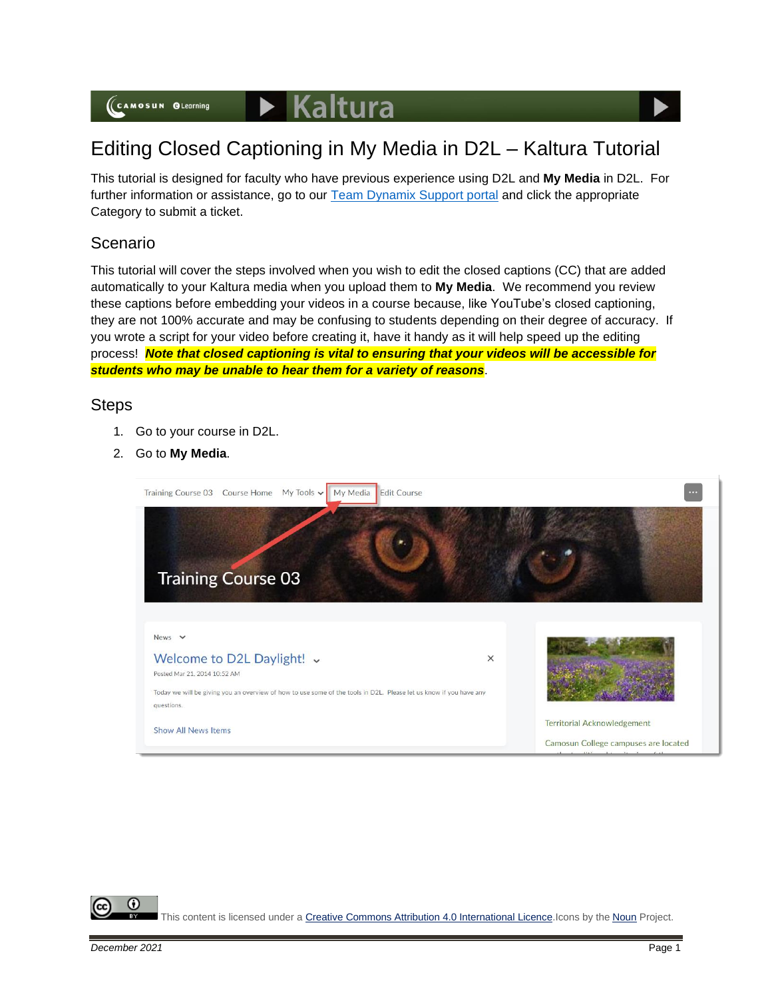# Editing Closed Captioning in My Media in D2L – Kaltura Tutorial

This tutorial is designed for faculty who have previous experience using D2L and **My Media** in D2L. For further information or assistance, go to our [Team Dynamix Support portal](https://camosun.teamdynamix.com/TDClient/67/Portal/Requests/ServiceCatalog?CategoryID=523) and click the appropriate Category to submit a ticket.

## Scenario

This tutorial will cover the steps involved when you wish to edit the closed captions (CC) that are added automatically to your Kaltura media when you upload them to **My Media**. We recommend you review these captions before embedding your videos in a course because, like YouTube's closed captioning, they are not 100% accurate and may be confusing to students depending on their degree of accuracy. If you wrote a script for your video before creating it, have it handy as it will help speed up the editing process! *Note that closed captioning is vital to ensuring that your videos will be accessible for students who may be unable to hear them for a variety of reasons*.

### Steps

- 1. Go to your course in D2L.
- 2. Go to **My Media**.



This content is licensed under [a Creative Commons Attribution 4.0 International Licence.I](https://creativecommons.org/licenses/by/4.0/)cons by the [Noun](https://creativecommons.org/website-icons/) Project.

G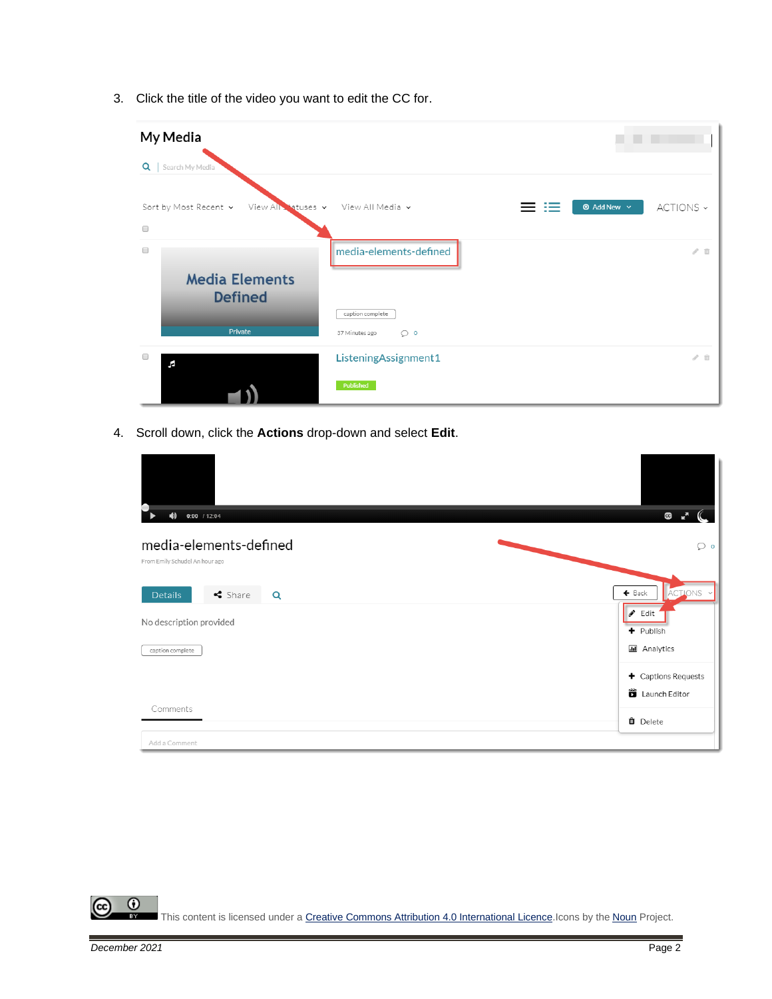3. Click the title of the video you want to edit the CC for.

| My Media                                               |                                               |                                      |
|--------------------------------------------------------|-----------------------------------------------|--------------------------------------|
| $Q \mid$<br>Search My Media                            |                                               |                                      |
| Sort by Most Recent v<br>View All Statuses v<br>$\Box$ | View All Media v<br>$=$                       | <b>1</b> Add New $\sim$<br>ACTIONS ~ |
| $\Box$<br><b>Media Elements</b><br><b>Defined</b>      | media-elements-defined                        | $\mathcal{S}$ . If                   |
| Private                                                | caption complete<br>37 Minutes ago<br>$\circ$ |                                      |
| $\Box$<br>F                                            | ListeningAssignment1<br>Published             | $\ell$ ii                            |

4. Scroll down, click the **Actions** drop-down and select **Edit**.

| $\blacklozenge$<br>$0:00$ / 12:04                        | G                                                  |
|----------------------------------------------------------|----------------------------------------------------|
| media-elements-defined<br>From Emily Schudel An hour ago | $\circ$                                            |
| $\triangleleft$ Share<br><b>Details</b><br>Q             | $\leftarrow$ Back<br>ACTIONS Y                     |
| No description provided                                  | $\triangle$ Edit<br>+ Publish                      |
| caption complete                                         | <b>III</b> Analytics                               |
|                                                          | $\blacklozenge$ Captions Requests<br>Launch Editor |
| Comments                                                 | <b>O</b> Delete                                    |
| Add a Comment                                            |                                                    |

 $\frac{0}{x}$ This content is licensed under [a Creative Commons Attribution 4.0 International Licence.I](https://creativecommons.org/licenses/by/4.0/)cons by the [Noun](https://creativecommons.org/website-icons/) Project.

<u>(କ</u>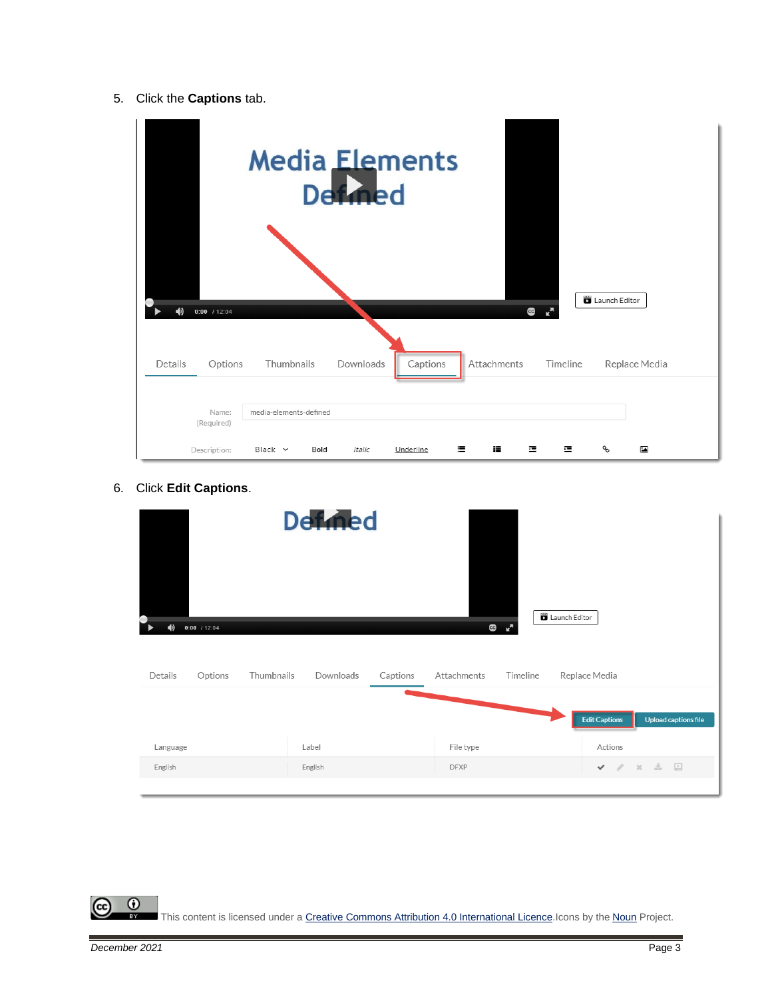5. Click the **Captions** tab.



6. Click **Edit Captions**.

|                                                                       | <b>Defined</b>        |                                                                |                                                                             |
|-----------------------------------------------------------------------|-----------------------|----------------------------------------------------------------|-----------------------------------------------------------------------------|
| $\blacklozenge$<br>$0:00$ / 12:04<br>Thumbnails<br>Options<br>Details | Downloads<br>Captions | Launch Editor<br>$\mathbf{C}$<br>-6<br>Attachments<br>Timeline | Replace Media                                                               |
| Language<br>English                                                   | Label<br>English      | File type<br><b>DFXP</b>                                       | Upload captions file<br><b>Edit Captions</b><br>Actions<br><b>v</b> / x ± □ |

This content is licensed under [a Creative Commons Attribution 4.0 International Licence.I](https://creativecommons.org/licenses/by/4.0/)cons by the [Noun](https://creativecommons.org/website-icons/) Project.

 $\overline{\odot}$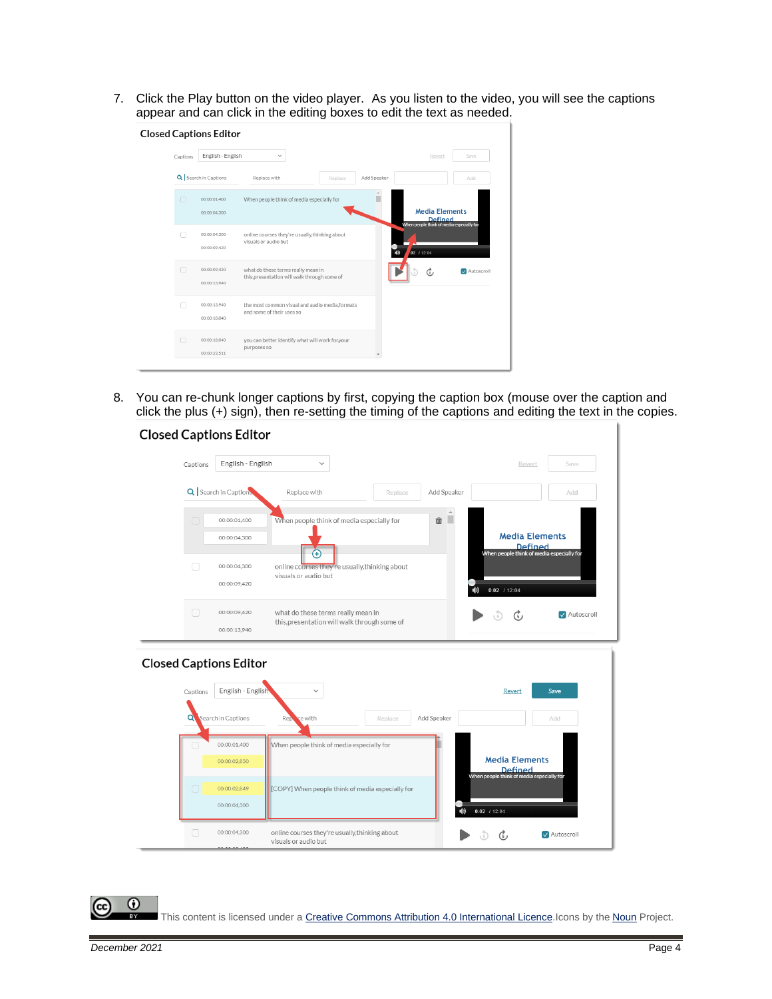7. Click the Play button on the video player. As you listen to the video, you will see the captions appear and can click in the editing boxes to edit the text as needed.

|  |          | <b>Closed Captions Editor</b> |                                                                                    |         |             |             |                                                                                      |            |
|--|----------|-------------------------------|------------------------------------------------------------------------------------|---------|-------------|-------------|--------------------------------------------------------------------------------------|------------|
|  | Captions | English - English             | $\checkmark$                                                                       |         |             |             | Revert                                                                               | Save       |
|  |          | Q Search in Captions          | Replace with                                                                       | Replace | Add Speaker |             |                                                                                      | Add        |
|  | $\Box$   | 00:00:01.400                  | When people think of media especially for                                          |         |             |             |                                                                                      |            |
|  |          | 00:00:04.300                  |                                                                                    |         |             |             | <b>Media Elements</b><br><b>Defined</b><br>When people think of media especially for |            |
|  |          | 00:00:04.300<br>00:00:09.420  | online courses they're usually, thinking about<br>visuals or audio but             |         |             |             |                                                                                      |            |
|  |          |                               |                                                                                    |         |             | 102 / 12:04 |                                                                                      |            |
|  | п        | 00:00:09,420<br>00:00:13,940  | what do these terms really mean in<br>this, presentation will walk through some of |         |             |             |                                                                                      | Autoscroll |
|  | n.       | 00:00:13.940<br>00:00:18.840  | the most common visual and audio media, formats<br>and some of their uses so       |         |             |             |                                                                                      |            |
|  |          |                               |                                                                                    |         |             |             |                                                                                      |            |
|  |          | 00:00:18.840<br>00:00:23.511  | you can better identify what will work for,your<br>purposes so                     |         |             |             |                                                                                      |            |
|  |          |                               |                                                                                    |         |             |             |                                                                                      |            |

8. You can re-chunk longer captions by first, copying the caption box (mouse over the caption and click the plus (+) sign), then re-setting the timing of the captions and editing the text in the copies.

#### **Closed Captions Editor**

| Captions                      | English - English            | $\checkmark$                                                                       |         |             | Revert                                                             | Save        |
|-------------------------------|------------------------------|------------------------------------------------------------------------------------|---------|-------------|--------------------------------------------------------------------|-------------|
|                               | Q   Search in Caption        | Replace with                                                                       | Replace | Add Speaker |                                                                    | Add         |
| ∩                             | 00:00:01.400<br>00:00:04.300 | When people think of media especially for                                          |         | 血           | <b>Media Elements</b><br>Defined                                   |             |
| □                             | 00:00:04,300<br>00:00:09,420 | Œ<br>online courses they're usually, thinking about<br>visuals or audio but        |         |             | When people think of media especially for<br>$0:02$ / 12:04<br>10) |             |
| ∩                             | 00:00:09,420<br>00:00:13,940 | what do these terms really mean in<br>this, presentation will walk through some of |         |             | ر آ                                                                | Autoscroll  |
| <b>Closed Captions Editor</b> |                              |                                                                                    |         |             |                                                                    |             |
| Captions                      | English - English            | $\checkmark$                                                                       |         |             | Revert                                                             | Save        |
| Q                             | Search in Captions           | Reporte with                                                                       | Replace | Add Speaker |                                                                    | Add         |
|                               | 00:00:01.400<br>00:00:02,850 | When people think of media especially for                                          |         |             | <b>Media Elements</b><br>Defined                                   |             |
| $\Box$                        | 00:00:02.849<br>00:00:04.300 | [COPY] When people think of media especially for                                   |         | (b)         | When people think of media especially for<br>$0:02$ / 12:04        |             |
| □                             | 00:00:04,300                 | online courses they're usually, thinking about<br>visuals or audio but             |         |             | رچ                                                                 | MAutoscroll |

 $\odot$ 

This content is licensed under [a Creative Commons Attribution 4.0 International Licence.I](https://creativecommons.org/licenses/by/4.0/)cons by the [Noun](https://creativecommons.org/website-icons/) Project.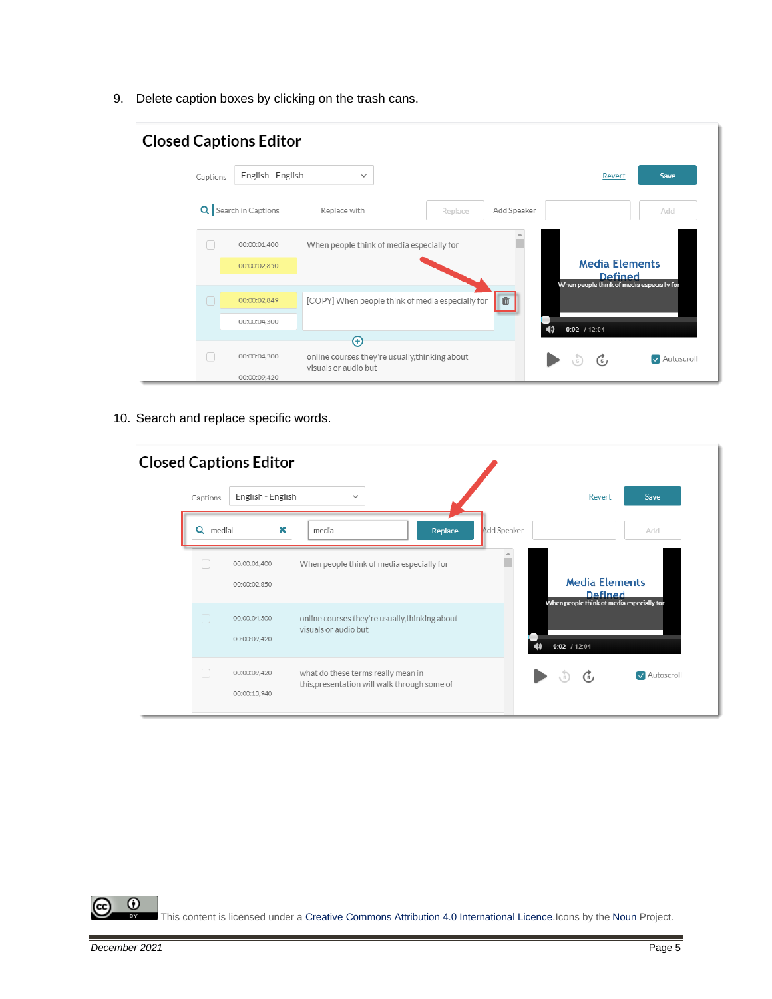9. Delete caption boxes by clicking on the trash cans.

|          | <b>Closed Captions Editor</b> |                                                                        |         |             |                |                                                                               |
|----------|-------------------------------|------------------------------------------------------------------------|---------|-------------|----------------|-------------------------------------------------------------------------------|
| Captions | English - English             | $\checkmark$                                                           |         |             |                | Revert<br>Save                                                                |
|          | Q   Search in Captions        | Replace with                                                           | Replace | Add Speaker |                | Add                                                                           |
|          | 00:00:01.400                  | When people think of media especially for                              |         |             |                |                                                                               |
|          | 00:00:02.850                  |                                                                        |         |             |                | <b>Media Elements</b><br>Defined<br>When people think of media especially for |
|          | 00:00:02.849                  | [COPY] When people think of media especially for                       |         | 面           |                |                                                                               |
|          | 00:00:04,300                  | Ð                                                                      |         |             | $0:02$ / 12:04 |                                                                               |
|          | 00:00:04,300<br>00:00:09.420  | online courses they're usually, thinking about<br>visuals or audio but |         |             | G              | Autoscroll                                                                    |

10. Search and replace specific words.

|            | <b>Closed Captions Editor</b> |   |                                                                                    |             |   |                                                             |            |
|------------|-------------------------------|---|------------------------------------------------------------------------------------|-------------|---|-------------------------------------------------------------|------------|
| Captions   | English - English             |   | $\checkmark$                                                                       |             |   | Revert                                                      | Save       |
| Q   medial |                               | × | media<br>Replace                                                                   | Add Speaker |   |                                                             | Add        |
|            | 00:00:01.400<br>00:00:02.850  |   | When people think of media especially for                                          |             |   | <b>Media Elements</b><br>Defined                            |            |
| $\Box$     | 00:00:04.300<br>00:00:09.420  |   | online courses they're usually, thinking about<br>visuals or audio but             |             |   | When people think of media especially for<br>$0:02$ / 12:04 |            |
| Г          | 00:00:09,420<br>00:00:13,940  |   | what do these terms really mean in<br>this, presentation will walk through some of |             | 5 | $\mathcal{C}_1$                                             | Autoscroll |

 $\overline{0}$ This content is licensed under [a Creative Commons Attribution 4.0 International Licence.I](https://creativecommons.org/licenses/by/4.0/)cons by the [Noun](https://creativecommons.org/website-icons/) Project.

(cc